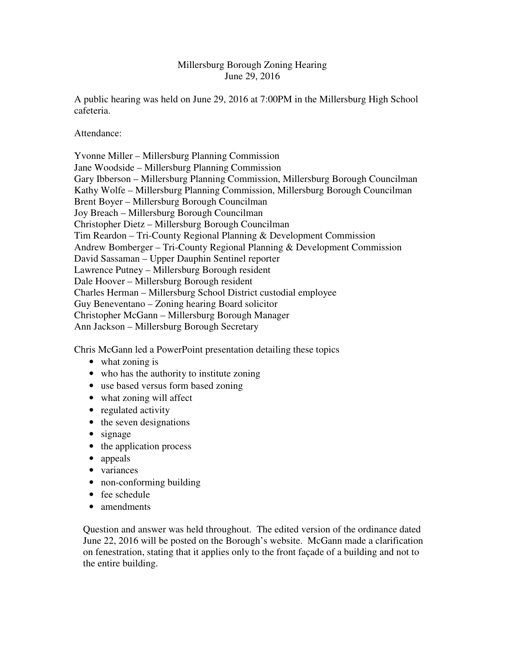## Millersburg Borough Zoning Hearing June 29, 2016

A public hearing was held on June 29, 2016 at 7:00PM in the Millersburg High School cafeteria.

Attendance:

Yvonne Miller – Millersburg Planning Commission Jane Woodside – Millersburg Planning Commission Gary Ibberson – Millersburg Planning Commission, Millersburg Borough Councilman Kathy Wolfe – Millersburg Planning Commission, Millersburg Borough Councilman Brent Boyer – Millersburg Borough Councilman Joy Breach – Millersburg Borough Councilman Christopher Dietz – Millersburg Borough Councilman Tim Reardon – Tri-County Regional Planning & Development Commission Andrew Bomberger – Tri-County Regional Planning & Development Commission David Sassaman – Upper Dauphin Sentinel reporter Lawrence Putney – Millersburg Borough resident Dale Hoover – Millersburg Borough resident Charles Herman – Millersburg School District custodial employee Guy Beneventano – Zoning hearing Board solicitor Christopher McGann – Millersburg Borough Manager Ann Jackson – Millersburg Borough Secretary

Chris McGann led a PowerPoint presentation detailing these topics

- what zoning is
- who has the authority to institute zoning
- use based versus form based zoning
- what zoning will affect
- regulated activity
- the seven designations
- signage
- the application process
- appeals
- variances
- non-conforming building
- fee schedule
- amendments

Question and answer was held throughout. The edited version of the ordinance dated June 22, 2016 will be posted on the Borough's website. McGann made a clarification on fenestration, stating that it applies only to the front façade of a building and not to the entire building.